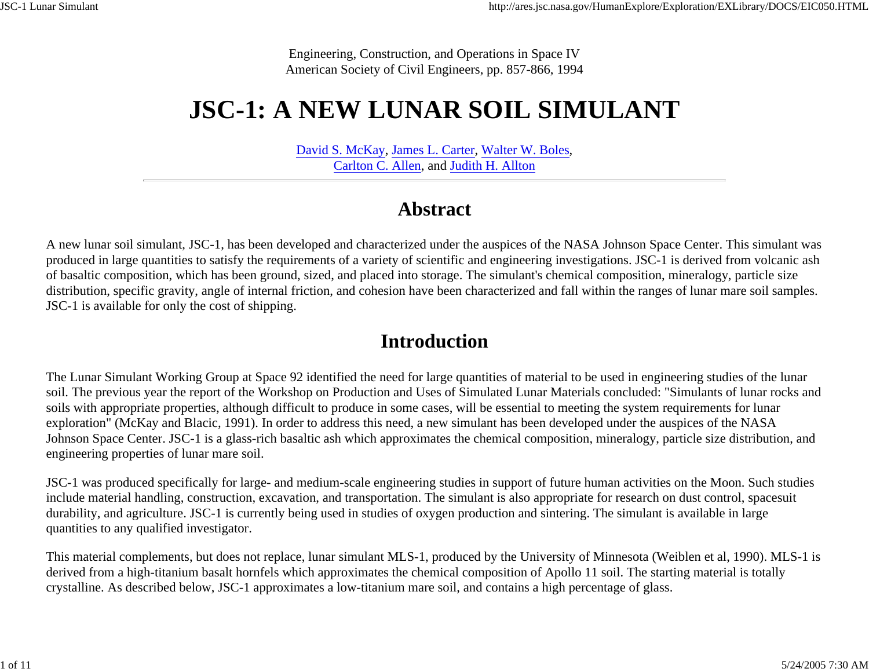Engineering, Construction, and Operations in Space IV American Society of Civil Engineers, pp. 857-866, 1994

# **JSC-1: A NEW LUNAR SOIL SIMULANT**

David S. McKay, James L. Carter, Walter W. Boles, Carlton C. Allen, and Judith H. Allton

### **Abstract**

A new lunar soil simulant, JSC-1, has been developed and characterized under the auspices of the NASA Johnson Space Center. This simulant was produced in large quantities to satisfy the requirements of a variety of scientific and engineering investigations. JSC-1 is derived from volcanic ash of basaltic composition, which has been ground, sized, and placed into storage. The simulant's chemical composition, mineralogy, particle size distribution, specific gravity, angle of internal friction, and cohesion have been characterized and fall within the ranges of lunar mare soil samples. JSC-1 is available for only the cost of shipping.

### **Introduction**

The Lunar Simulant Working Group at Space 92 identified the need for large quantities of material to be used in engineering studies of the lunar soil. The previous year the report of the Workshop on Production and Uses of Simulated Lunar Materials concluded: "Simulants of lunar rocks and soils with appropriate properties, although difficult to produce in some cases, will be essential to meeting the system requirements for lunar exploration" (McKay and Blacic, 1991). In order to address this need, a new simulant has been developed under the auspices of the NASA Johnson Space Center. JSC-1 is a glass-rich basaltic ash which approximates the chemical composition, mineralogy, particle size distribution, and engineering properties of lunar mare soil.

JSC-1 was produced specifically for large- and medium-scale engineering studies in support of future human activities on the Moon. Such studies include material handling, construction, excavation, and transportation. The simulant is also appropriate for research on dust control, spacesuit durability, and agriculture. JSC-1 is currently being used in studies of oxygen production and sintering. The simulant is available in large quantities to any qualified investigator.

This material complements, but does not replace, lunar simulant MLS-1, produced by the University of Minnesota (Weiblen et al, 1990). MLS-1 is derived from a high-titanium basalt hornfels which approximates the chemical composition of Apollo 11 soil. The starting material is totally crystalline. As described below, JSC-1 approximates a low-titanium mare soil, and contains a high percentage of glass.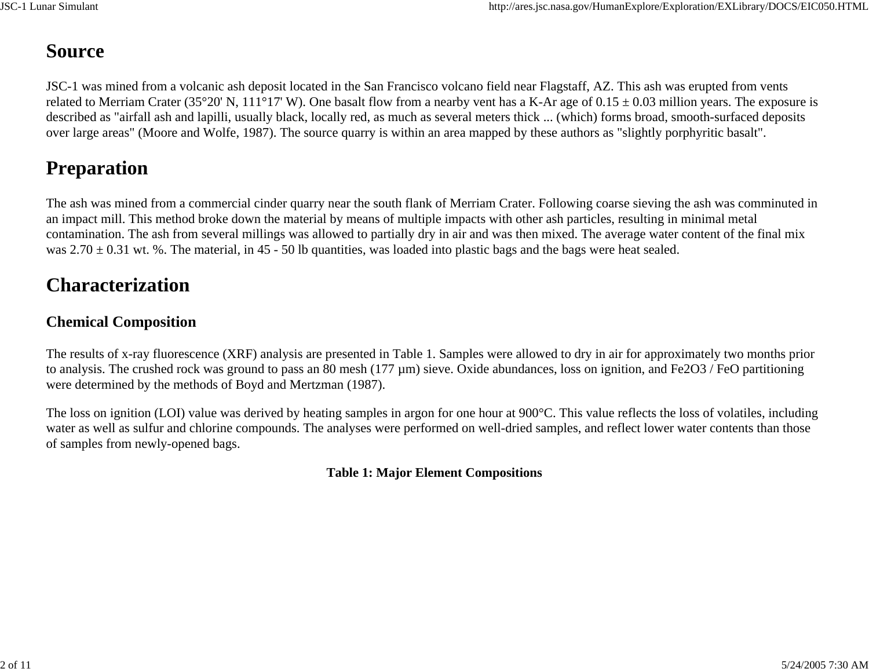# **Source**

JSC-1 was mined from a volcanic ash deposit located in the San Francisco volcano field near Flagstaff, AZ. This ash was erupted from vents related to Merriam Crater (35°20' N, 111°17' W). One basalt flow from a nearby vent has a K-Ar age of  $0.15 \pm 0.03$  million years. The exposure is described as "airfall ash and lapilli, usually black, locally red, as much as several meters thick ... (which) forms broad, smooth-surfaced deposits over large areas" (Moore and Wolfe, 1987). The source quarry is within an area mapped by these authors as "slightly porphyritic basalt".

# **Preparation**

The ash was mined from a commercial cinder quarry near the south flank of Merriam Crater. Following coarse sieving the ash was comminuted in an impact mill. This method broke down the material by means of multiple impacts with other ash particles, resulting in minimal metal contamination. The ash from several millings was allowed to partially dry in air and was then mixed. The average water content of the final mix was  $2.70 \pm 0.31$  wt. %. The material, in 45 - 50 lb quantities, was loaded into plastic bags and the bags were heat sealed.

### **Characterization**

### **Chemical Composition**

The results of x-ray fluorescence (XRF) analysis are presented in Table 1. Samples were allowed to dry in air for approximately two months prior to analysis. The crushed rock was ground to pass an 80 mesh (177  $\mu$ m) sieve. Oxide abundances, loss on ignition, and Fe2O3 / FeO partitioning were determined by the methods of Boyd and Mertzman (1987).

The loss on ignition (LOI) value was derived by heating samples in argon for one hour at 900°C. This value reflects the loss of volatiles, including water as well as sulfur and chlorine compounds. The analyses were performed on well-dried samples, and reflect lower water contents than those of samples from newly-opened bags.

#### **Table 1: Major Element Compositions**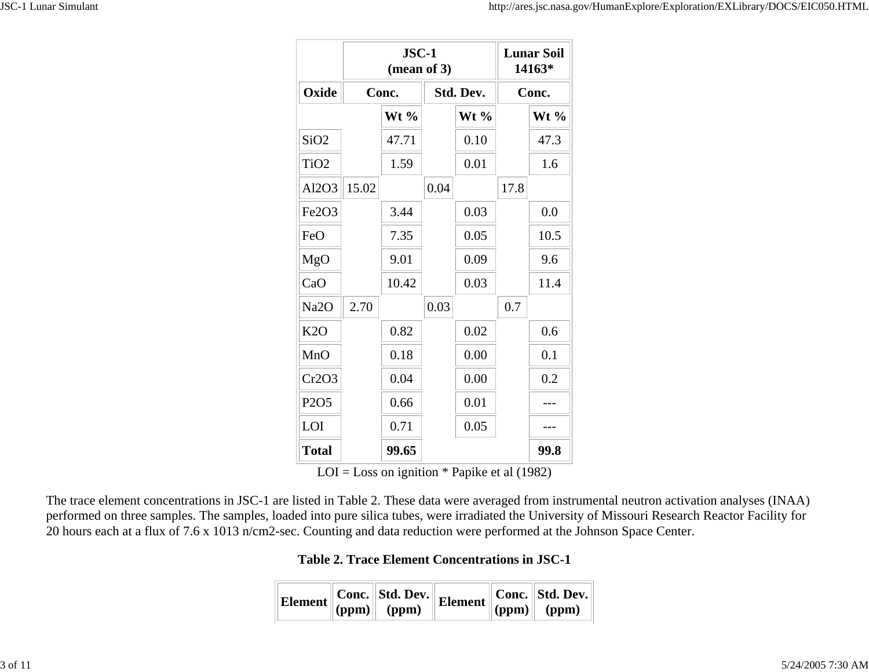|                                | $JSC-1$<br>(mean of 3) |         |           | <b>Lunar Soil</b><br>14163* |       |         |
|--------------------------------|------------------------|---------|-----------|-----------------------------|-------|---------|
| Oxide                          | Conc.                  |         | Std. Dev. |                             | Conc. |         |
|                                |                        | Wt $\%$ |           | $Wt\%$                      |       | Wt $\%$ |
| SiO <sub>2</sub>               |                        | 47.71   |           | 0.10                        |       | 47.3    |
| TiO <sub>2</sub>               |                        | 1.59    |           | 0.01                        |       | 1.6     |
| Al2O3                          | 15.02                  |         | 0.04      |                             | 17.8  |         |
| Fe <sub>2</sub> O <sub>3</sub> |                        | 3.44    |           | 0.03                        |       | 0.0     |
| FeO                            |                        | 7.35    |           | 0.05                        |       | 10.5    |
| MgO                            |                        | 9.01    |           | 0.09                        |       | 9.6     |
| CaO                            |                        | 10.42   |           | 0.03                        |       | 11.4    |
| Na <sub>2</sub> O              | 2.70                   |         | 0.03      |                             | 0.7   |         |
| K2O                            |                        | 0.82    |           | 0.02                        |       | 0.6     |
| MnO                            |                        | 0.18    |           | 0.00                        |       | 0.1     |
| Cr2O3                          |                        | 0.04    |           | 0.00                        |       | 0.2     |
| P <sub>2</sub> O <sub>5</sub>  |                        | 0.66    |           | 0.01                        |       |         |
| LOI                            |                        | 0.71    |           | 0.05                        |       |         |
| <b>Total</b>                   |                        | 99.65   |           |                             |       | 99.8    |

 $LOI = Loss on$  ignition  $*$  Papike et al (1982)

The trace element concentrations in JSC-1 are listed in Table 2. These data were averaged from instrumental neutron activation analyses (INAA) performed on three samples. The samples, loaded into pure silica tubes, were irradiated the University of Missouri Research Reactor Facility for 20 hours each at a flux of 7.6 x 1013 n/cm2-sec. Counting and data reduction were performed at the Johnson Space Center.

**Table 2. Trace Element Concentrations in JSC-1**

|  |  | Element Conc. Std. Dev. Element Conc. Std. Dev.<br>(ppm) (ppm) Element (ppm) (ppm) |  |
|--|--|------------------------------------------------------------------------------------|--|
|  |  |                                                                                    |  |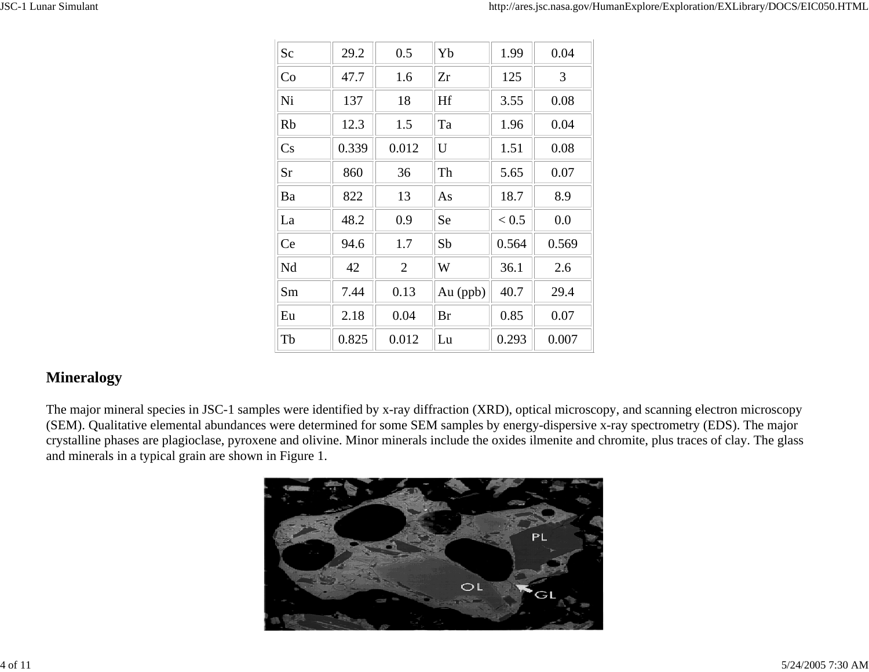| Sc        | 29.2  | 0.5            | Yb       | 1.99  | 0.04  |
|-----------|-------|----------------|----------|-------|-------|
| Co        | 47.7  | 1.6            | Zr       | 125   | 3     |
| Ni        | 137   | 18             | Hf       | 3.55  | 0.08  |
| <b>Rb</b> | 12.3  | 1.5            | Ta       | 1.96  | 0.04  |
| Cs        | 0.339 | 0.012          | U        | 1.51  | 0.08  |
| Sr        | 860   | 36             | Th       | 5.65  | 0.07  |
| Ba        | 822   | 13             | As       | 18.7  | 8.9   |
| La        | 48.2  | 0.9            | Se       | < 0.5 | 0.0   |
| Ce        | 94.6  | 1.7            | Sb       | 0.564 | 0.569 |
| Nd        | 42    | $\overline{2}$ | W        | 36.1  | 2.6   |
| Sm        | 7.44  | 0.13           | Au (ppb) | 40.7  | 29.4  |
| Eu        | 2.18  | 0.04           | Br       | 0.85  | 0.07  |
| Tb        | 0.825 | 0.012          | Lu       | 0.293 | 0.007 |

### **Mineralogy**

The major mineral species in JSC-1 samples were identified by x-ray diffraction (XRD), optical microscopy, and scanning electron microscopy (SEM). Qualitative elemental abundances were determined for some SEM samples by energy-dispersive x-ray spectrometry (EDS). The major crystalline phases are plagioclase, pyroxene and olivine. Minor minerals include the oxides ilmenite and chromite, plus traces of clay. The glass and minerals in a typical grain are shown in Figure 1.

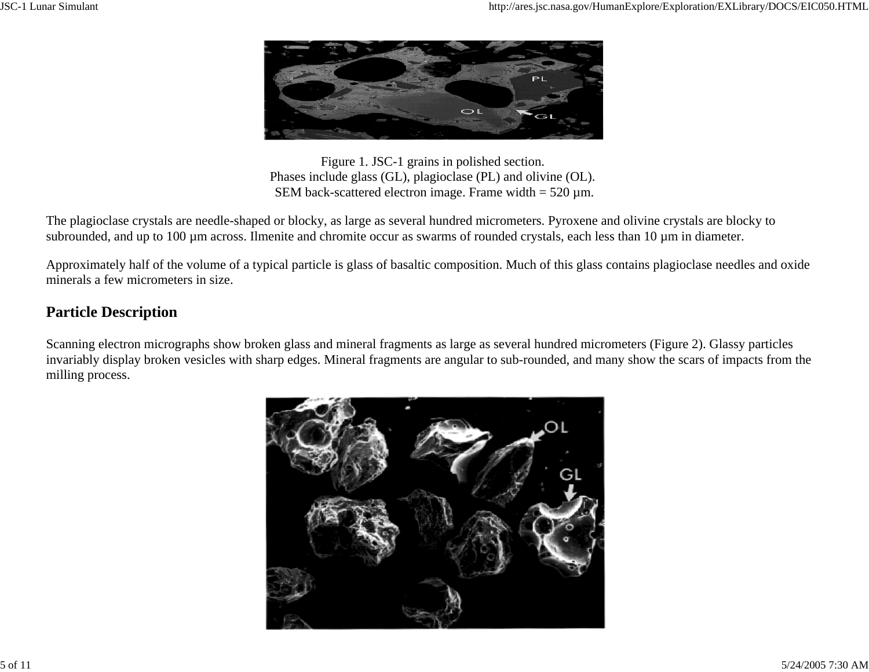

Figure 1. JSC-1 grains in polished section. Phases include glass (GL), plagioclase (PL) and olivine (OL). SEM back-scattered electron image. Frame width  $= 520 \mu m$ .

The plagioclase crystals are needle-shaped or blocky, as large as several hundred micrometers. Pyroxene and olivine crystals are blocky to subrounded, and up to 100 µm across. Ilmenite and chromite occur as swarms of rounded crystals, each less than 10 µm in diameter.

Approximately half of the volume of a typical particle is glass of basaltic composition. Much of this glass contains plagioclase needles and oxide minerals a few micrometers in size.

### **Particle Description**

Scanning electron micrographs show broken glass and mineral fragments as large as several hundred micrometers (Figure 2). Glassy particles invariably display broken vesicles with sharp edges. Mineral fragments are angular to sub-rounded, and many show the scars of impacts from the milling process.

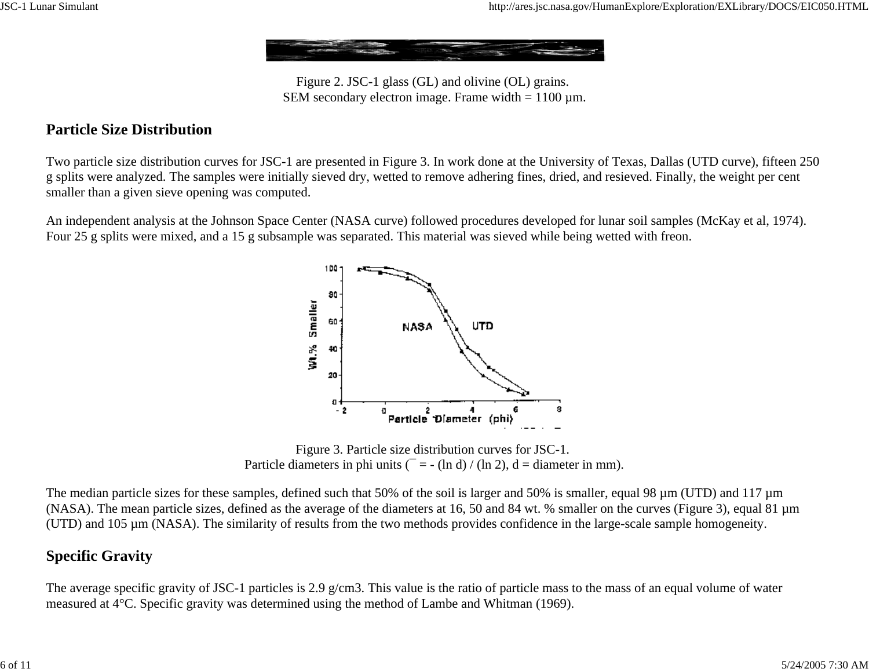

Figure 2. JSC-1 glass (GL) and olivine (OL) grains. SEM secondary electron image. Frame width  $= 1100 \mu m$ .

#### **Particle Size Distribution**

Two particle size distribution curves for JSC-1 are presented in Figure 3. In work done at the University of Texas, Dallas (UTD curve), fifteen 250 g splits were analyzed. The samples were initially sieved dry, wetted to remove adhering fines, dried, and resieved. Finally, the weight per cent smaller than a given sieve opening was computed.

An independent analysis at the Johnson Space Center (NASA curve) followed procedures developed for lunar soil samples (McKay et al, 1974). Four 25 g splits were mixed, and a 15 g subsample was separated. This material was sieved while being wetted with freon.



Figure 3. Particle size distribution curves for JSC-1. Particle diameters in phi units ( $\bar{z} = -(\ln d) / (\ln 2)$ , d = diameter in mm).

The median particle sizes for these samples, defined such that 50% of the soil is larger and 50% is smaller, equal 98  $\mu$ m (UTD) and 117  $\mu$ m (NASA). The mean particle sizes, defined as the average of the diameters at 16, 50 and 84 wt. % smaller on the curves (Figure 3), equal 81 µm (UTD) and 105 µm (NASA). The similarity of results from the two methods provides confidence in the large-scale sample homogeneity.

#### **Specific Gravity**

The average specific gravity of JSC-1 particles is 2.9 g/cm3. This value is the ratio of particle mass to the mass of an equal volume of water measured at 4°C. Specific gravity was determined using the method of Lambe and Whitman (1969).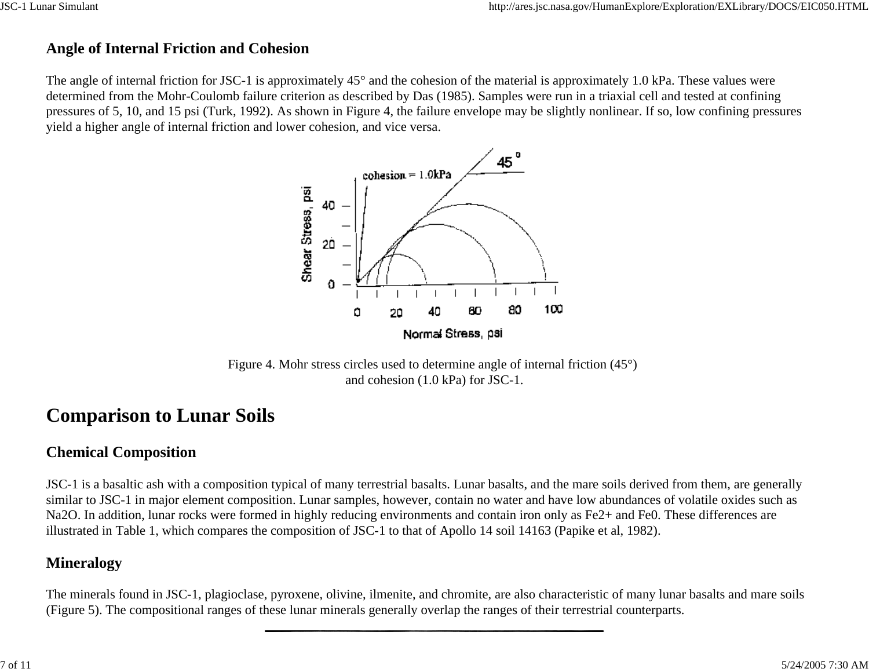### **Angle of Internal Friction and Cohesion**

The angle of internal friction for JSC-1 is approximately 45° and the cohesion of the material is approximately 1.0 kPa. These values were determined from the Mohr-Coulomb failure criterion as described by Das (1985). Samples were run in a triaxial cell and tested at confining pressures of 5, 10, and 15 psi (Turk, 1992). As shown in Figure 4, the failure envelope may be slightly nonlinear. If so, low confining pressures yield a higher angle of internal friction and lower cohesion, and vice versa.



Figure 4. Mohr stress circles used to determine angle of internal friction (45°) and cohesion (1.0 kPa) for JSC-1.

### **Comparison to Lunar Soils**

### **Chemical Composition**

JSC-1 is a basaltic ash with a composition typical of many terrestrial basalts. Lunar basalts, and the mare soils derived from them, are generally similar to JSC-1 in major element composition. Lunar samples, however, contain no water and have low abundances of volatile oxides such as Na2O. In addition, lunar rocks were formed in highly reducing environments and contain iron only as Fe2+ and Fe0. These differences are illustrated in Table 1, which compares the composition of JSC-1 to that of Apollo 14 soil 14163 (Papike et al, 1982).

### **Mineralogy**

The minerals found in JSC-1, plagioclase, pyroxene, olivine, ilmenite, and chromite, are also characteristic of many lunar basalts and mare soils (Figure 5). The compositional ranges of these lunar minerals generally overlap the ranges of their terrestrial counterparts.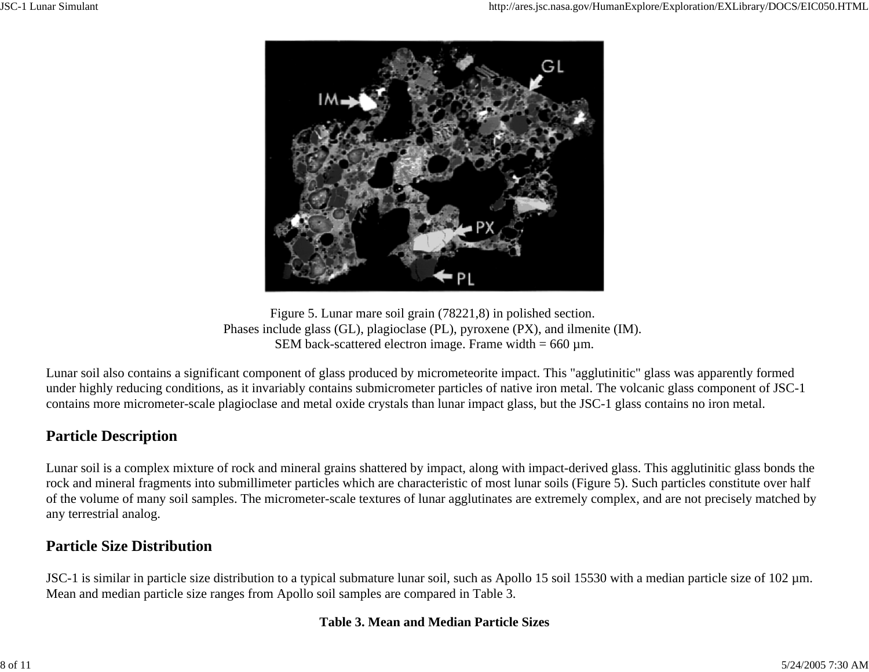

Figure 5. Lunar mare soil grain (78221,8) in polished section. Phases include glass (GL), plagioclase (PL), pyroxene (PX), and ilmenite (IM). SEM back-scattered electron image. Frame width  $= 660 \text{ µm}$ .

Lunar soil also contains a significant component of glass produced by micrometeorite impact. This "agglutinitic" glass was apparently formed under highly reducing conditions, as it invariably contains submicrometer particles of native iron metal. The volcanic glass component of JSC-1 contains more micrometer-scale plagioclase and metal oxide crystals than lunar impact glass, but the JSC-1 glass contains no iron metal.

### **Particle Description**

Lunar soil is a complex mixture of rock and mineral grains shattered by impact, along with impact-derived glass. This agglutinitic glass bonds the rock and mineral fragments into submillimeter particles which are characteristic of most lunar soils (Figure 5). Such particles constitute over half of the volume of many soil samples. The micrometer-scale textures of lunar agglutinates are extremely complex, and are not precisely matched by any terrestrial analog.

### **Particle Size Distribution**

JSC-1 is similar in particle size distribution to a typical submature lunar soil, such as Apollo 15 soil 15530 with a median particle size of 102 µm. Mean and median particle size ranges from Apollo soil samples are compared in Table 3.

#### **Table 3. Mean and Median Particle Sizes**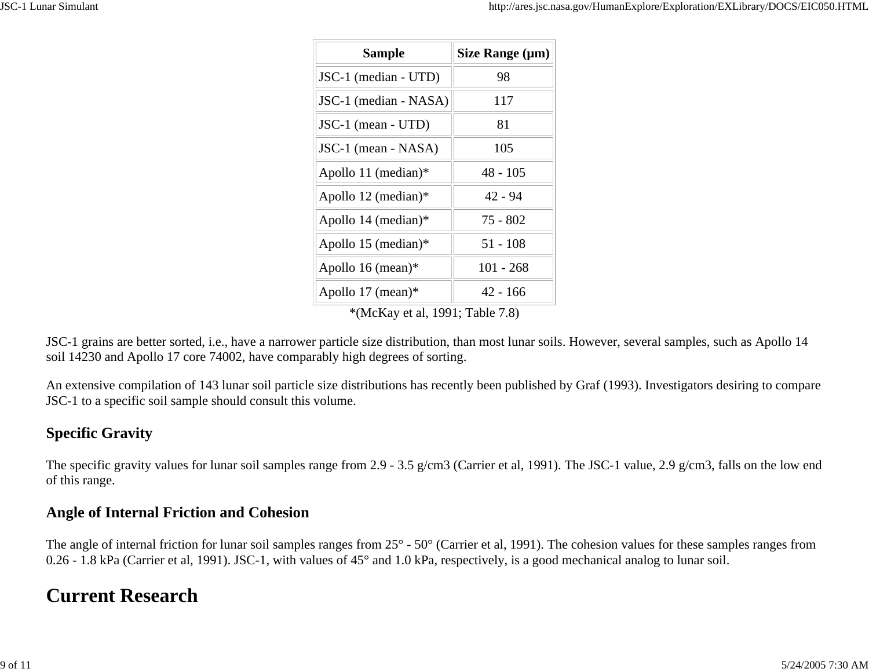| <b>Sample</b>          | Size Range $(\mu m)$ |
|------------------------|----------------------|
| JSC-1 (median - UTD)   | 98                   |
| JSC-1 (median - NASA)  | 117                  |
| JSC-1 (mean - UTD)     | 81                   |
| JSC-1 (mean - NASA)    | 105                  |
| Apollo 11 (median) $*$ | $48 - 105$           |
| Apollo 12 (median)*    | $42 - 94$            |
| Apollo 14 (median) $*$ | 75 - 802             |
| Apollo 15 (median)*    | 51 - 108             |
| Apollo 16 (mean) $*$   | 101 - 268            |
| Apollo 17 (mean) $*$   | $42 - 166$           |

\*(McKay et al, 1991; Table 7.8)

JSC-1 grains are better sorted, i.e., have a narrower particle size distribution, than most lunar soils. However, several samples, such as Apollo 14 soil 14230 and Apollo 17 core 74002, have comparably high degrees of sorting.

An extensive compilation of 143 lunar soil particle size distributions has recently been published by Graf (1993). Investigators desiring to compare JSC-1 to a specific soil sample should consult this volume.

### **Specific Gravity**

The specific gravity values for lunar soil samples range from 2.9 - 3.5 g/cm3 (Carrier et al, 1991). The JSC-1 value, 2.9 g/cm3, falls on the low end of this range.

### **Angle of Internal Friction and Cohesion**

The angle of internal friction for lunar soil samples ranges from 25° - 50° (Carrier et al, 1991). The cohesion values for these samples ranges from 0.26 - 1.8 kPa (Carrier et al, 1991). JSC-1, with values of 45° and 1.0 kPa, respectively, is a good mechanical analog to lunar soil.

### **Current Research**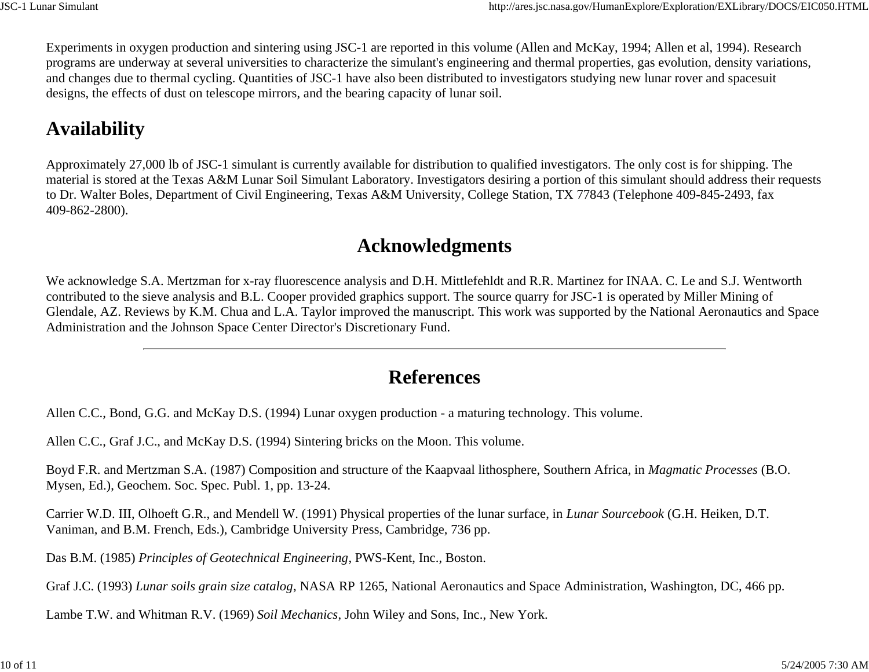Experiments in oxygen production and sintering using JSC-1 are reported in this volume (Allen and McKay, 1994; Allen et al, 1994). Research programs are underway at several universities to characterize the simulant's engineering and thermal properties, gas evolution, density variations, and changes due to thermal cycling. Quantities of JSC-1 have also been distributed to investigators studying new lunar rover and spacesuit designs, the effects of dust on telescope mirrors, and the bearing capacity of lunar soil.

### **Availability**

Approximately 27,000 lb of JSC-1 simulant is currently available for distribution to qualified investigators. The only cost is for shipping. The material is stored at the Texas A&M Lunar Soil Simulant Laboratory. Investigators desiring a portion of this simulant should address their requests to Dr. Walter Boles, Department of Civil Engineering, Texas A&M University, College Station, TX 77843 (Telephone 409-845-2493, fax 409-862-2800).

### **Acknowledgments**

We acknowledge S.A. Mertzman for x-ray fluorescence analysis and D.H. Mittlefehldt and R.R. Martinez for INAA. C. Le and S.J. Wentworth contributed to the sieve analysis and B.L. Cooper provided graphics support. The source quarry for JSC-1 is operated by Miller Mining of Glendale, AZ. Reviews by K.M. Chua and L.A. Taylor improved the manuscript. This work was supported by the National Aeronautics and Space Administration and the Johnson Space Center Director's Discretionary Fund.

### **References**

Allen C.C., Bond, G.G. and McKay D.S. (1994) Lunar oxygen production - a maturing technology. This volume.

Allen C.C., Graf J.C., and McKay D.S. (1994) Sintering bricks on the Moon. This volume.

Boyd F.R. and Mertzman S.A. (1987) Composition and structure of the Kaapvaal lithosphere, Southern Africa, in *Magmatic Processes* (B.O. Mysen, Ed.), Geochem. Soc. Spec. Publ. 1, pp. 13-24.

Carrier W.D. III, Olhoeft G.R., and Mendell W. (1991) Physical properties of the lunar surface, in *Lunar Sourcebook* (G.H. Heiken, D.T. Vaniman, and B.M. French, Eds.), Cambridge University Press, Cambridge, 736 pp.

Das B.M. (1985) *Principles of Geotechnical Engineering*, PWS-Kent, Inc., Boston.

Graf J.C. (1993) *Lunar soils grain size catalog*, NASA RP 1265, National Aeronautics and Space Administration, Washington, DC, 466 pp.

Lambe T.W. and Whitman R.V. (1969) *Soil Mechanics*, John Wiley and Sons, Inc., New York.